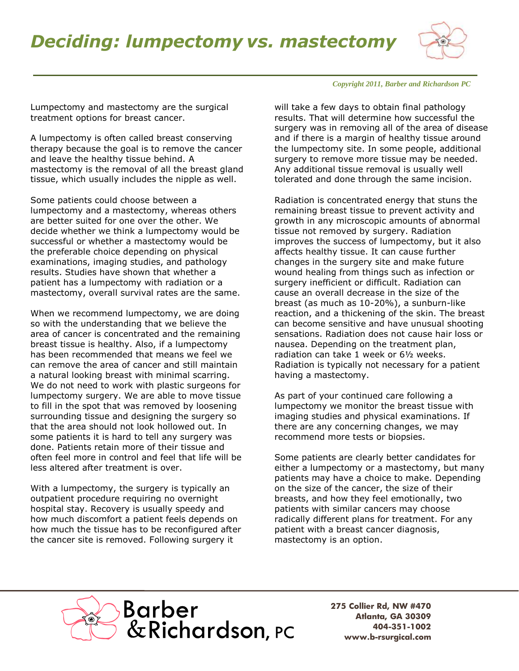## *Deciding: lumpectomy vs. mastectomy*



## *Copyright 2011, Barber and Richardson PC*

Lumpectomy and mastectomy are the surgical treatment options for breast cancer.

A lumpectomy is often called breast conserving therapy because the goal is to remove the cancer and leave the healthy tissue behind. A mastectomy is the removal of all the breast gland tissue, which usually includes the nipple as well.

Some patients could choose between a lumpectomy and a mastectomy, whereas others are better suited for one over the other. We decide whether we think a lumpectomy would be successful or whether a mastectomy would be the preferable choice depending on physical examinations, imaging studies, and pathology results. Studies have shown that whether a patient has a lumpectomy with radiation or a mastectomy, overall survival rates are the same.

When we recommend lumpectomy, we are doing so with the understanding that we believe the area of cancer is concentrated and the remaining breast tissue is healthy. Also, if a lumpectomy has been recommended that means we feel we can remove the area of cancer and still maintain a natural looking breast with minimal scarring. We do not need to work with plastic surgeons for lumpectomy surgery. We are able to move tissue to fill in the spot that was removed by loosening surrounding tissue and designing the surgery so that the area should not look hollowed out. In some patients it is hard to tell any surgery was done. Patients retain more of their tissue and often feel more in control and feel that life will be less altered after treatment is over.

With a lumpectomy, the surgery is typically an outpatient procedure requiring no overnight hospital stay. Recovery is usually speedy and how much discomfort a patient feels depends on how much the tissue has to be reconfigured after the cancer site is removed. Following surgery it

will take a few days to obtain final pathology results. That will determine how successful the surgery was in removing all of the area of disease and if there is a margin of healthy tissue around the lumpectomy site. In some people, additional surgery to remove more tissue may be needed. Any additional tissue removal is usually well tolerated and done through the same incision.

Radiation is concentrated energy that stuns the remaining breast tissue to prevent activity and growth in any microscopic amounts of abnormal tissue not removed by surgery. Radiation improves the success of lumpectomy, but it also affects healthy tissue. It can cause further changes in the surgery site and make future wound healing from things such as infection or surgery inefficient or difficult. Radiation can cause an overall decrease in the size of the breast (as much as 10-20%), a sunburn-like reaction, and a thickening of the skin. The breast can become sensitive and have unusual shooting sensations. Radiation does not cause hair loss or nausea. Depending on the treatment plan, radiation can take 1 week or 6½ weeks. Radiation is typically not necessary for a patient having a mastectomy.

As part of your continued care following a lumpectomy we monitor the breast tissue with imaging studies and physical examinations. If there are any concerning changes, we may recommend more tests or biopsies.

Some patients are clearly better candidates for either a lumpectomy or a mastectomy, but many patients may have a choice to make. Depending on the size of the cancer, the size of their breasts, and how they feel emotionally, two patients with similar cancers may choose radically different plans for treatment. For any patient with a breast cancer diagnosis, mastectomy is an option.



**275 Collier Rd, NW #470 Atlanta, GA 30309 404-351-1002 www.b-rsurgical.com**